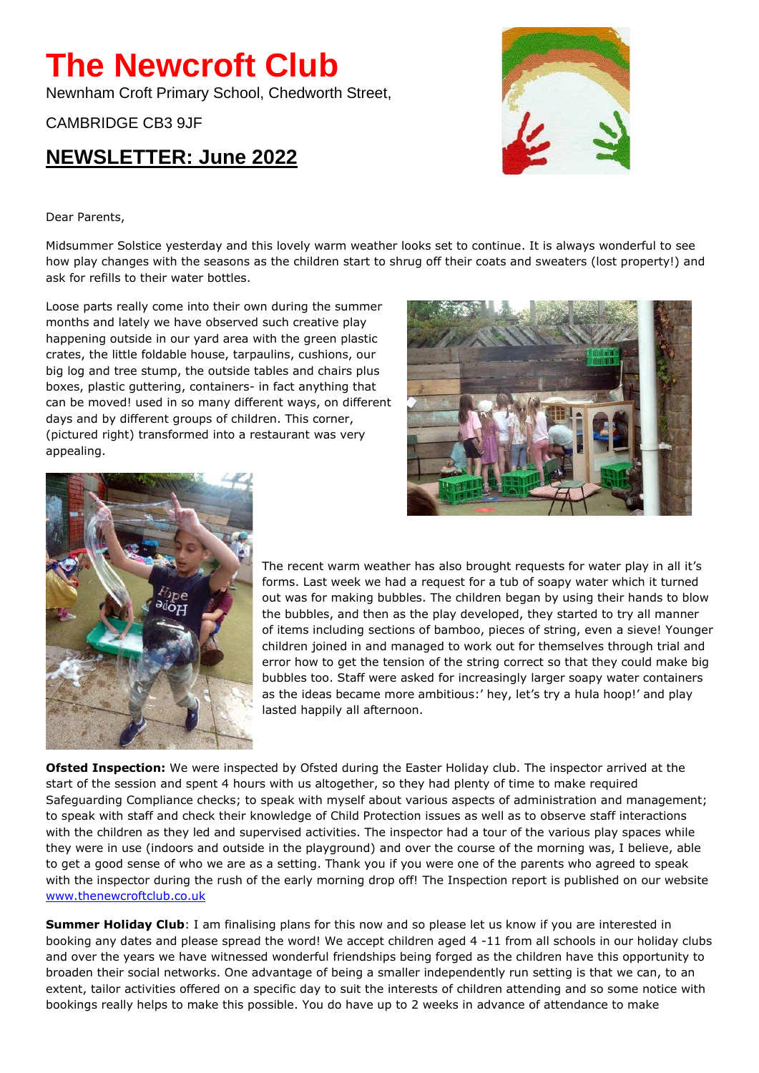## **The Newcroft Club**

Newnham Croft Primary School, Chedworth Street,

CAMBRIDGE CB3 9JF

## **NEWSLETTER: June 2022**



Dear Parents,

Midsummer Solstice yesterday and this lovely warm weather looks set to continue. It is always wonderful to see how play changes with the seasons as the children start to shrug off their coats and sweaters (lost property!) and ask for refills to their water bottles.

Loose parts really come into their own during the summer months and lately we have observed such creative play happening outside in our yard area with the green plastic crates, the little foldable house, tarpaulins, cushions, our big log and tree stump, the outside tables and chairs plus boxes, plastic guttering, containers- in fact anything that can be moved! used in so many different ways, on different days and by different groups of children. This corner, (pictured right) transformed into a restaurant was very appealing.





The recent warm weather has also brought requests for water play in all it's forms. Last week we had a request for a tub of soapy water which it turned out was for making bubbles. The children began by using their hands to blow the bubbles, and then as the play developed, they started to try all manner of items including sections of bamboo, pieces of string, even a sieve! Younger children joined in and managed to work out for themselves through trial and error how to get the tension of the string correct so that they could make big bubbles too. Staff were asked for increasingly larger soapy water containers as the ideas became more ambitious:' hey, let's try a hula hoop!' and play lasted happily all afternoon.

**Ofsted Inspection:** We were inspected by Ofsted during the Easter Holiday club. The inspector arrived at the start of the session and spent 4 hours with us altogether, so they had plenty of time to make required Safeguarding Compliance checks; to speak with myself about various aspects of administration and management; to speak with staff and check their knowledge of Child Protection issues as well as to observe staff interactions with the children as they led and supervised activities. The inspector had a tour of the various play spaces while they were in use (indoors and outside in the playground) and over the course of the morning was, I believe, able to get a good sense of who we are as a setting. Thank you if you were one of the parents who agreed to speak with the inspector during the rush of the early morning drop off! The Inspection report is published on our website [www.thenewcroftclub.co.uk](http://www.thenewcroftclub.co.uk/)

**Summer Holiday Club**: I am finalising plans for this now and so please let us know if you are interested in booking any dates and please spread the word! We accept children aged 4 -11 from all schools in our holiday clubs and over the years we have witnessed wonderful friendships being forged as the children have this opportunity to broaden their social networks. One advantage of being a smaller independently run setting is that we can, to an extent, tailor activities offered on a specific day to suit the interests of children attending and so some notice with bookings really helps to make this possible. You do have up to 2 weeks in advance of attendance to make